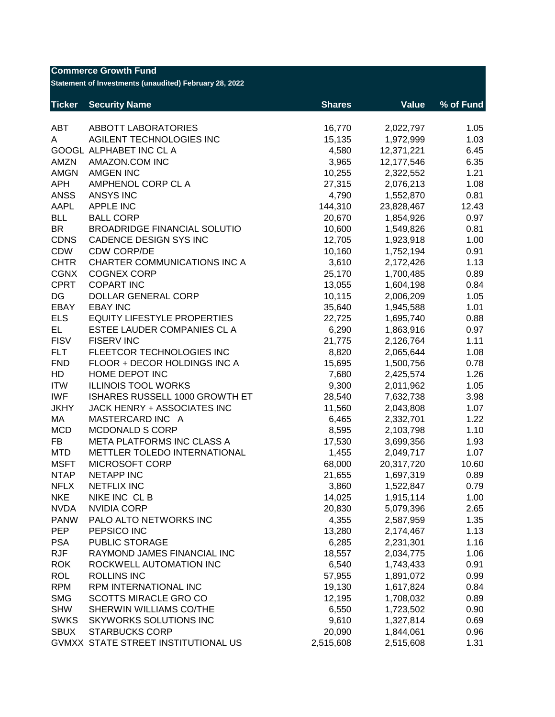| <b>Commerce Growth Fund</b><br>Statement of Investments (unaudited) February 28, 2022 |                                     |               |              |           |  |
|---------------------------------------------------------------------------------------|-------------------------------------|---------------|--------------|-----------|--|
| <b>Ticker</b>                                                                         | <b>Security Name</b>                | <b>Shares</b> | <b>Value</b> | % of Fund |  |
| <b>ABT</b>                                                                            | <b>ABBOTT LABORATORIES</b>          | 16,770        | 2,022,797    | 1.05      |  |
| A                                                                                     | AGILENT TECHNOLOGIES INC            | 15,135        | 1,972,999    | 1.03      |  |
|                                                                                       | GOOGL ALPHABET INC CL A             | 4,580         | 12,371,221   | 6.45      |  |
| <b>AMZN</b>                                                                           | AMAZON.COM INC                      | 3,965         | 12,177,546   | 6.35      |  |
| <b>AMGN</b>                                                                           | <b>AMGEN INC</b>                    | 10,255        | 2,322,552    | 1.21      |  |
| <b>APH</b>                                                                            | AMPHENOL CORP CL A                  | 27,315        | 2,076,213    | 1.08      |  |
| <b>ANSS</b>                                                                           | <b>ANSYS INC</b>                    | 4,790         | 1,552,870    | 0.81      |  |
| AAPL                                                                                  | <b>APPLE INC</b>                    | 144,310       | 23,828,467   | 12.43     |  |
| <b>BLL</b>                                                                            | <b>BALL CORP</b>                    | 20,670        | 1,854,926    | 0.97      |  |
| <b>BR</b>                                                                             | <b>BROADRIDGE FINANCIAL SOLUTIO</b> | 10,600        | 1,549,826    | 0.81      |  |
| <b>CDNS</b>                                                                           | CADENCE DESIGN SYS INC              | 12,705        | 1,923,918    | 1.00      |  |
| CDW                                                                                   | <b>CDW CORP/DE</b>                  | 10,160        | 1,752,194    | 0.91      |  |
| <b>CHTR</b>                                                                           | <b>CHARTER COMMUNICATIONS INC A</b> | 3,610         | 2,172,426    | 1.13      |  |
| <b>CGNX</b>                                                                           | <b>COGNEX CORP</b>                  | 25,170        | 1,700,485    | 0.89      |  |
| <b>CPRT</b>                                                                           | <b>COPART INC</b>                   | 13,055        | 1,604,198    | 0.84      |  |
| DG                                                                                    | <b>DOLLAR GENERAL CORP</b>          | 10,115        | 2,006,209    | 1.05      |  |
| EBAY                                                                                  | <b>EBAY INC</b>                     | 35,640        | 1,945,588    | 1.01      |  |
| <b>ELS</b>                                                                            | <b>EQUITY LIFESTYLE PROPERTIES</b>  | 22,725        | 1,695,740    | 0.88      |  |
| EL.                                                                                   | ESTEE LAUDER COMPANIES CL A         | 6,290         | 1,863,916    | 0.97      |  |
| <b>FISV</b>                                                                           | <b>FISERV INC</b>                   | 21,775        | 2,126,764    | 1.11      |  |
| <b>FLT</b>                                                                            | FLEETCOR TECHNOLOGIES INC           | 8,820         | 2,065,644    | 1.08      |  |
| <b>FND</b>                                                                            | FLOOR + DECOR HOLDINGS INC A        | 15,695        | 1,500,756    | 0.78      |  |
| HD                                                                                    | HOME DEPOT INC                      | 7,680         | 2,425,574    | 1.26      |  |
| <b>ITW</b>                                                                            | <b>ILLINOIS TOOL WORKS</b>          | 9,300         | 2,011,962    | 1.05      |  |
| <b>IWF</b>                                                                            | ISHARES RUSSELL 1000 GROWTH ET      | 28,540        | 7,632,738    | 3.98      |  |
| <b>JKHY</b>                                                                           | JACK HENRY + ASSOCIATES INC         | 11,560        | 2,043,808    | 1.07      |  |
| MA                                                                                    | MASTERCARD INC A                    | 6,465         | 2,332,701    | 1.22      |  |
| <b>MCD</b>                                                                            | <b>MCDONALD S CORP</b>              | 8,595         | 2,103,798    | 1.10      |  |
| <b>FB</b>                                                                             | <b>META PLATFORMS INC CLASS A</b>   | 17,530        | 3,699,356    | 1.93      |  |
| <b>MTD</b>                                                                            | METTLER TOLEDO INTERNATIONAL        | 1,455         | 2,049,717    | 1.07      |  |
| <b>MSFT</b>                                                                           | MICROSOFT CORP                      | 68,000        | 20,317,720   | 10.60     |  |
| <b>NTAP</b>                                                                           | <b>NETAPP INC</b>                   | 21,655        | 1,697,319    | 0.89      |  |
| <b>NFLX</b>                                                                           | <b>NETFLIX INC</b>                  | 3,860         | 1,522,847    | 0.79      |  |
| <b>NKE</b>                                                                            | NIKE INC CLB                        | 14,025        | 1,915,114    | 1.00      |  |
| <b>NVDA</b>                                                                           | <b>NVIDIA CORP</b>                  | 20,830        | 5,079,396    | 2.65      |  |
| <b>PANW</b>                                                                           | PALO ALTO NETWORKS INC              | 4,355         | 2,587,959    | 1.35      |  |
| <b>PEP</b>                                                                            | PEPSICO INC                         | 13,280        | 2,174,467    | 1.13      |  |
| <b>PSA</b>                                                                            | PUBLIC STORAGE                      | 6,285         | 2,231,301    | 1.16      |  |
| <b>RJF</b>                                                                            | RAYMOND JAMES FINANCIAL INC         | 18,557        | 2,034,775    | 1.06      |  |
| <b>ROK</b>                                                                            | ROCKWELL AUTOMATION INC             | 6,540         | 1,743,433    | 0.91      |  |
| <b>ROL</b>                                                                            | <b>ROLLINS INC</b>                  | 57,955        | 1,891,072    | 0.99      |  |
| <b>RPM</b>                                                                            | RPM INTERNATIONAL INC               | 19,130        | 1,617,824    | 0.84      |  |
| <b>SMG</b>                                                                            | <b>SCOTTS MIRACLE GRO CO</b>        | 12,195        | 1,708,032    | 0.89      |  |
| <b>SHW</b>                                                                            | SHERWIN WILLIAMS CO/THE             | 6,550         | 1,723,502    | 0.90      |  |
| <b>SWKS</b>                                                                           | SKYWORKS SOLUTIONS INC              | 9,610         | 1,327,814    | 0.69      |  |
| <b>SBUX</b>                                                                           | <b>STARBUCKS CORP</b>               | 20,090        | 1,844,061    | 0.96      |  |
|                                                                                       | GVMXX STATE STREET INSTITUTIONAL US | 2,515,608     | 2,515,608    | 1.31      |  |